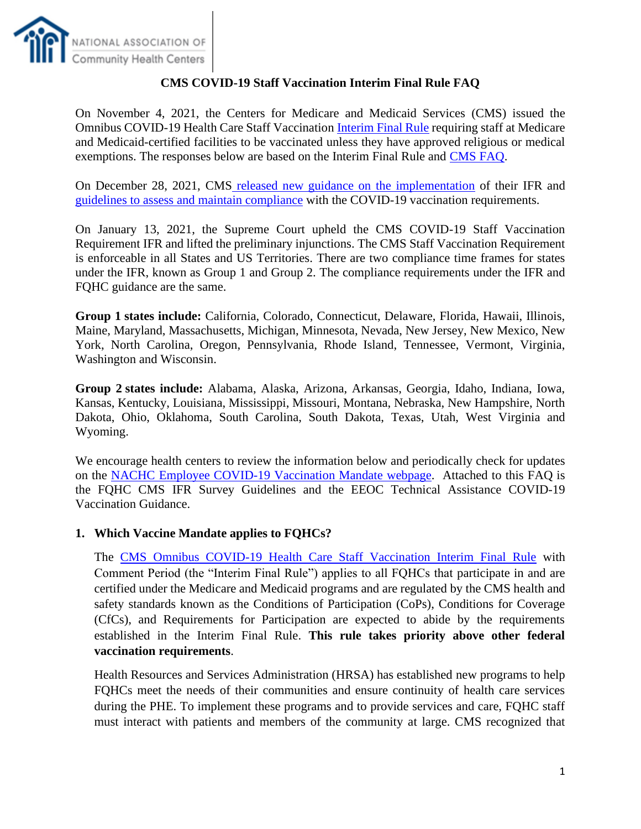

## **CMS COVID-19 Staff Vaccination Interim Final Rule FAQ**

On November 4, 2021, the Centers for Medicare and Medicaid Services (CMS) issued the Omnibus COVID-19 Health Care Staff Vaccination [Interim Final Rule](https://www.federalregister.gov/public-inspection/2021-23831/medicare-and-medicaid-programs-omnibus-covid-19-health-care-staff-vaccination) requiring staff at Medicare and Medicaid-certified facilities to be vaccinated unless they have approved religious or medical exemptions. The responses below are based on the Interim Final Rule and [CMS FAQ.](https://www.cms.gov/files/document/cms-omnibus-covid-19-health-care-staff-vaccination-requirements-2021.pdf)

On December 28, 2021, CMS [released new guidance on the implementation](https://www.cms.gov/files/document/qso-22-07-all.pdf) of their IFR and [guidelines to assess and maintain compliance](https://www.cms.gov/files/document/qso-22-07-all-attachment-m-rhcfqhc.pdf) with the COVID-19 vaccination requirements.

On January 13, 2021, the Supreme Court upheld the CMS COVID-19 Staff Vaccination Requirement IFR and lifted the preliminary injunctions. The CMS Staff Vaccination Requirement is enforceable in all States and US Territories. There are two compliance time frames for states under the IFR, known as Group 1 and Group 2. The compliance requirements under the IFR and FQHC guidance are the same.

**Group 1 states include:** California, Colorado, Connecticut, Delaware, Florida, Hawaii, Illinois, Maine, Maryland, Massachusetts, Michigan, Minnesota, Nevada, New Jersey, New Mexico, New York, North Carolina, Oregon, Pennsylvania, Rhode Island, Tennessee, Vermont, Virginia, Washington and Wisconsin.

**Group 2 states include:** Alabama, Alaska, Arizona, Arkansas, Georgia, Idaho, Indiana, Iowa, Kansas, Kentucky, Louisiana, Mississippi, Missouri, Montana, Nebraska, New Hampshire, North Dakota, Ohio, Oklahoma, South Carolina, South Dakota, Texas, Utah, West Virginia and Wyoming.

We encourage health centers to review the information below and periodically check for updates on the [NACHC Employee COVID-19 Vaccination Mandate webpage.](https://www.nachc.org/coronavirus/can-our-health-center-mandate-the-vaccine-and-other-frequently-asked-questions-and-answers/) Attached to this FAQ is the FQHC CMS IFR Survey Guidelines and the EEOC Technical Assistance COVID-19 Vaccination Guidance.

### **1. Which Vaccine Mandate applies to FQHCs?**

The [CMS Omnibus COVID-19 Health Care Staff Vaccination Interim Final Rule](https://www.cms.gov/newsroom/press-releases/biden-harris-administration-issues-emergency-regulation-requiring-covid-19-vaccination-health-care) with Comment Period (the "Interim Final Rule") applies to all FQHCs that participate in and are certified under the Medicare and Medicaid programs and are regulated by the CMS health and safety standards known as the Conditions of Participation (CoPs), Conditions for Coverage (CfCs), and Requirements for Participation are expected to abide by the requirements established in the Interim Final Rule. **This rule takes priority above other federal vaccination requirements**.

Health Resources and Services Administration (HRSA) has established new programs to help FQHCs meet the needs of their communities and ensure continuity of health care services during the PHE. To implement these programs and to provide services and care, FQHC staff must interact with patients and members of the community at large. CMS recognized that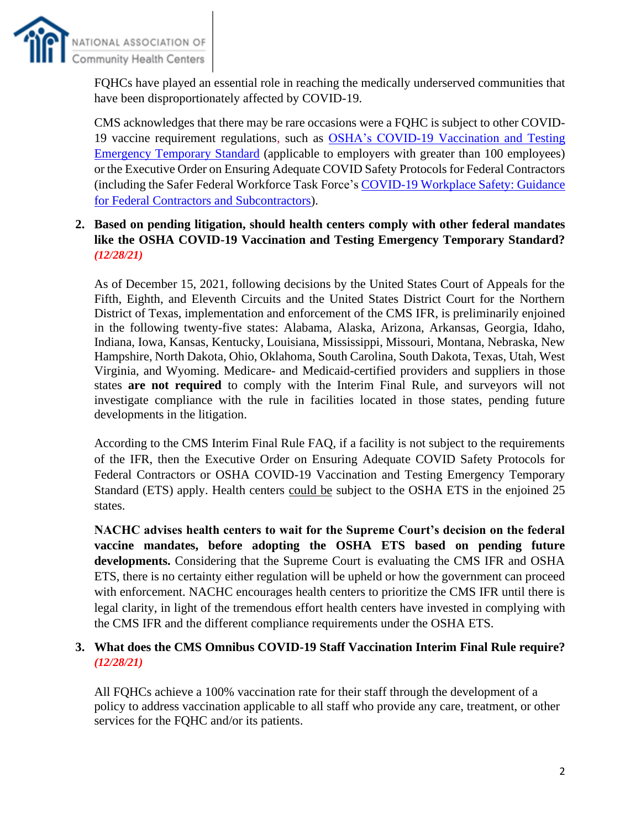

FQHCs have played an essential role in reaching the medically underserved communities that have been disproportionately affected by COVID-19.

CMS acknowledges that there may be rare occasions were a FQHC is subject to other COVID-19 vaccine requirement regulations, such as [OSHA's COVID-19 Vaccination and Testing](https://www.federalregister.gov/documents/2021/11/05/2021-23643/covid-19-vaccination-and-testing-emergency-temporary-standard)  [Emergency Temporary Standard](https://www.federalregister.gov/documents/2021/11/05/2021-23643/covid-19-vaccination-and-testing-emergency-temporary-standard) (applicable to employers with greater than 100 employees) or the Executive Order on Ensuring Adequate COVID Safety Protocols for Federal Contractors (including the Safer Federal Workforce Task Force's [COVID-19 Workplace Safety: Guidance](https://www.saferfederalworkforce.gov/downloads/Draft%20contractor%20guidance%20doc_20210922.pdf)  [for Federal Contractors and Subcontractors\)](https://www.saferfederalworkforce.gov/downloads/Draft%20contractor%20guidance%20doc_20210922.pdf).

## **2. Based on pending litigation, should health centers comply with other federal mandates like the OSHA COVID-19 Vaccination and Testing Emergency Temporary Standard?**  *(12/28/21)*

As of December 15, 2021, following decisions by the United States Court of Appeals for the Fifth, Eighth, and Eleventh Circuits and the United States District Court for the Northern District of Texas, implementation and enforcement of the CMS IFR, is preliminarily enjoined in the following twenty-five states: Alabama, Alaska, Arizona, Arkansas, Georgia, Idaho, Indiana, Iowa, Kansas, Kentucky, Louisiana, Mississippi, Missouri, Montana, Nebraska, New Hampshire, North Dakota, Ohio, Oklahoma, South Carolina, South Dakota, Texas, Utah, West Virginia, and Wyoming. Medicare- and Medicaid-certified providers and suppliers in those states **are not required** to comply with the Interim Final Rule, and surveyors will not investigate compliance with the rule in facilities located in those states, pending future developments in the litigation.

According to the CMS Interim Final Rule FAQ, if a facility is not subject to the requirements of the IFR, then the Executive Order on Ensuring Adequate COVID Safety Protocols for Federal Contractors or OSHA COVID-19 Vaccination and Testing Emergency Temporary Standard (ETS) apply. Health centers could be subject to the OSHA ETS in the enjoined 25 states.

**NACHC advises health centers to wait for the Supreme Court's decision on the federal vaccine mandates, before adopting the OSHA ETS based on pending future developments.** Considering that the Supreme Court is evaluating the CMS IFR and OSHA ETS, there is no certainty either regulation will be upheld or how the government can proceed with enforcement. NACHC encourages health centers to prioritize the CMS IFR until there is legal clarity, in light of the tremendous effort health centers have invested in complying with the CMS IFR and the different compliance requirements under the OSHA ETS.

#### **3. What does the CMS Omnibus COVID-19 Staff Vaccination Interim Final Rule require?**  *(12/28/21)*

All FQHCs achieve a 100% vaccination rate for their staff through the development of a policy to address vaccination applicable to all staff who provide any care, treatment, or other services for the FQHC and/or its patients.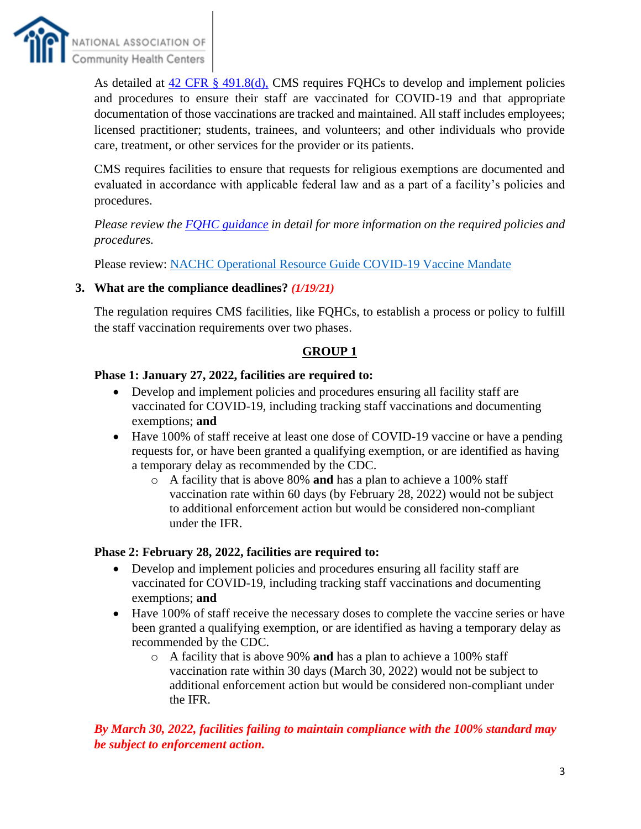

As detailed at  $42$  CFR  $\S$  491.8(d), CMS requires FQHCs to develop and implement policies and procedures to ensure their staff are vaccinated for COVID-19 and that appropriate documentation of those vaccinations are tracked and maintained. All staff includes employees; licensed practitioner; students, trainees, and volunteers; and other individuals who provide care, treatment, or other services for the provider or its patients.

CMS requires facilities to ensure that requests for religious exemptions are documented and evaluated in accordance with applicable federal law and as a part of a facility's policies and procedures.

*Please review the [FQHC guidance](https://www.cms.gov/files/document/qso-22-07-all-attachment-m-rhcfqhc.pdf) in detail for more information on the required policies and procedures.* 

Please review: [NACHC Operational Resource Guide COVID-19 Vaccine Mandate](https://www.nachc.org/wp-content/uploads/2021/11/COVID-19-Vaccine-Mandates-Toolkit_9-FINAL-11.1.21.pdf)

### **3. What are the compliance deadlines?** *(1/19/21)*

The regulation requires CMS facilities, like FQHCs, to establish a process or policy to fulfill the staff vaccination requirements over two phases.

#### **GROUP 1**

#### **Phase 1: January 27, 2022, facilities are required to:**

- Develop and implement policies and procedures ensuring all facility staff are vaccinated for COVID-19, including tracking staff vaccinations and documenting exemptions; **and**
- Have 100% of staff receive at least one dose of COVID-19 vaccine or have a pending requests for, or have been granted a qualifying exemption, or are identified as having a temporary delay as recommended by the CDC.
	- o A facility that is above 80% **and** has a plan to achieve a 100% staff vaccination rate within 60 days (by February 28, 2022) would not be subject to additional enforcement action but would be considered non-compliant under the IFR.

#### **Phase 2: February 28, 2022, facilities are required to:**

- Develop and implement policies and procedures ensuring all facility staff are vaccinated for COVID-19, including tracking staff vaccinations and documenting exemptions; **and**
- Have 100% of staff receive the necessary doses to complete the vaccine series or have been granted a qualifying exemption, or are identified as having a temporary delay as recommended by the CDC.
	- o A facility that is above 90% **and** has a plan to achieve a 100% staff vaccination rate within 30 days (March 30, 2022) would not be subject to additional enforcement action but would be considered non-compliant under the IFR.

## *By March 30, 2022, facilities failing to maintain compliance with the 100% standard may be subject to enforcement action.*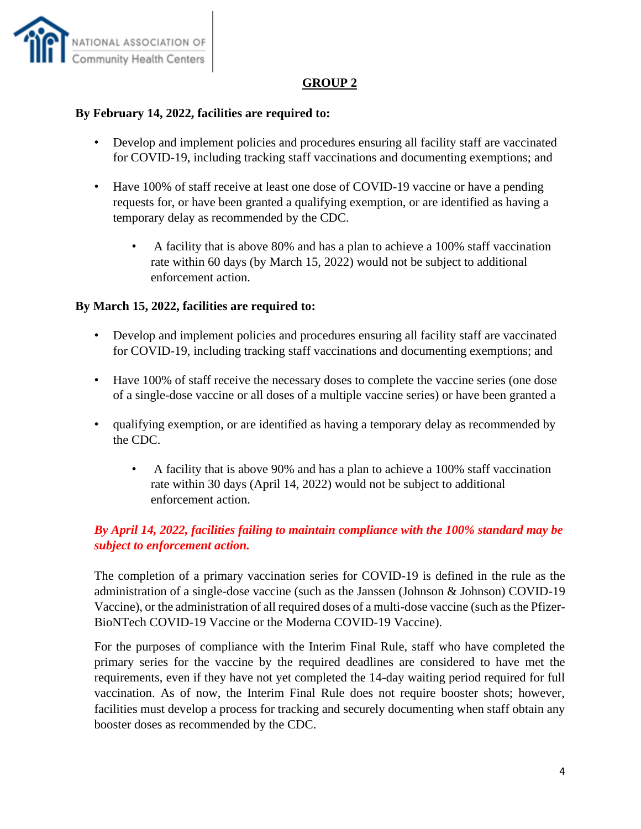

### **GROUP 2**

### **By February 14, 2022, facilities are required to:**

- Develop and implement policies and procedures ensuring all facility staff are vaccinated for COVID-19, including tracking staff vaccinations and documenting exemptions; and
- Have 100% of staff receive at least one dose of COVID-19 vaccine or have a pending requests for, or have been granted a qualifying exemption, or are identified as having a temporary delay as recommended by the CDC.
	- A facility that is above 80% and has a plan to achieve a 100% staff vaccination rate within 60 days (by March 15, 2022) would not be subject to additional enforcement action.

#### **By March 15, 2022, facilities are required to:**

- Develop and implement policies and procedures ensuring all facility staff are vaccinated for COVID-19, including tracking staff vaccinations and documenting exemptions; and
- Have 100% of staff receive the necessary doses to complete the vaccine series (one dose of a single-dose vaccine or all doses of a multiple vaccine series) or have been granted a
- qualifying exemption, or are identified as having a temporary delay as recommended by the CDC.
	- A facility that is above 90% and has a plan to achieve a 100% staff vaccination rate within 30 days (April 14, 2022) would not be subject to additional enforcement action.

## *By April 14, 2022, facilities failing to maintain compliance with the 100% standard may be subject to enforcement action.*

The completion of a primary vaccination series for COVID-19 is defined in the rule as the administration of a single-dose vaccine (such as the Janssen (Johnson & Johnson) COVID-19 Vaccine), or the administration of all required doses of a multi-dose vaccine (such as the Pfizer-BioNTech COVID-19 Vaccine or the Moderna COVID-19 Vaccine).

For the purposes of compliance with the Interim Final Rule, staff who have completed the primary series for the vaccine by the required deadlines are considered to have met the requirements, even if they have not yet completed the 14-day waiting period required for full vaccination. As of now, the Interim Final Rule does not require booster shots; however, facilities must develop a process for tracking and securely documenting when staff obtain any booster doses as recommended by the CDC.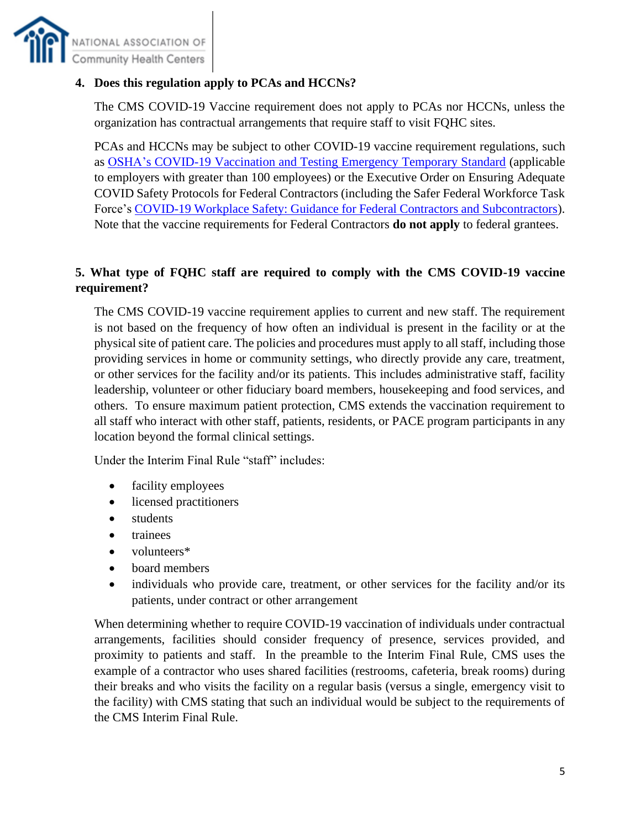

### **4. Does this regulation apply to PCAs and HCCNs?**

The CMS COVID-19 Vaccine requirement does not apply to PCAs nor HCCNs, unless the organization has contractual arrangements that require staff to visit FQHC sites.

PCAs and HCCNs may be subject to other COVID-19 vaccine requirement regulations, such as [OSHA's COVID-19 Vaccination and Testing Emergency Temporary Standard](https://www.federalregister.gov/documents/2021/11/05/2021-23643/covid-19-vaccination-and-testing-emergency-temporary-standard) (applicable to employers with greater than 100 employees) or the Executive Order on Ensuring Adequate COVID Safety Protocols for Federal Contractors (including the Safer Federal Workforce Task Force's [COVID-19 Workplace Safety: Guidance for Federal Contractors and Subcontractors\)](https://www.saferfederalworkforce.gov/downloads/Draft%20contractor%20guidance%20doc_20210922.pdf). Note that the vaccine requirements for Federal Contractors **do not apply** to federal grantees.

## **5. What type of FQHC staff are required to comply with the CMS COVID-19 vaccine requirement?**

The CMS COVID-19 vaccine requirement applies to current and new staff. The requirement is not based on the frequency of how often an individual is present in the facility or at the physical site of patient care. The policies and procedures must apply to all staff, including those providing services in home or community settings, who directly provide any care, treatment, or other services for the facility and/or its patients. This includes administrative staff, facility leadership, volunteer or other fiduciary board members, housekeeping and food services, and others. To ensure maximum patient protection, CMS extends the vaccination requirement to all staff who interact with other staff, patients, residents, or PACE program participants in any location beyond the formal clinical settings.

Under the Interim Final Rule "staff" includes:

- facility employees
- licensed practitioners
- students
- trainees
- volunteers\*
- board members
- individuals who provide care, treatment, or other services for the facility and/or its patients, under contract or other arrangement

When determining whether to require COVID-19 vaccination of individuals under contractual arrangements, facilities should consider frequency of presence, services provided, and proximity to patients and staff. In the preamble to the Interim Final Rule, CMS uses the example of a contractor who uses shared facilities (restrooms, cafeteria, break rooms) during their breaks and who visits the facility on a regular basis (versus a single, emergency visit to the facility) with CMS stating that such an individual would be subject to the requirements of the CMS Interim Final Rule.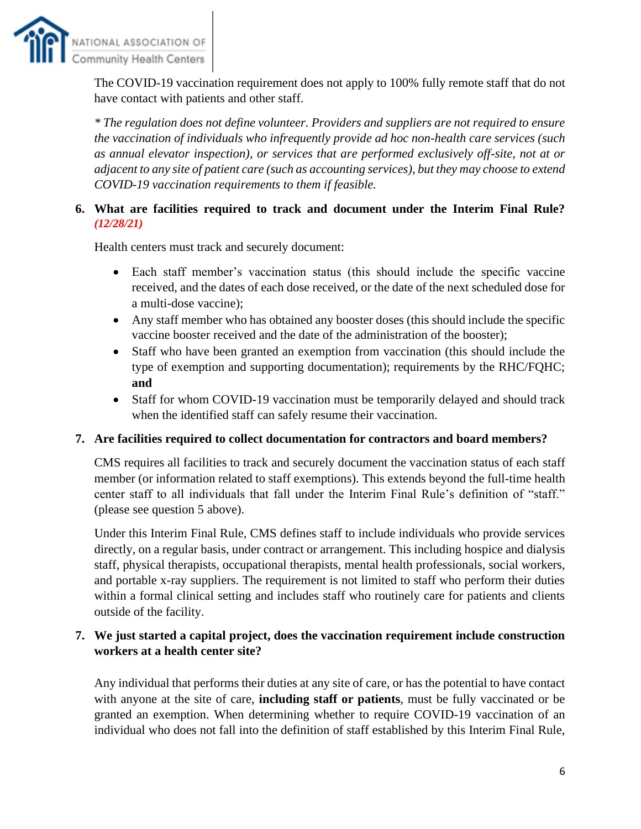

The COVID-19 vaccination requirement does not apply to 100% fully remote staff that do not have contact with patients and other staff.

*\* The regulation does not define volunteer. Providers and suppliers are not required to ensure the vaccination of individuals who infrequently provide ad hoc non-health care services (such as annual elevator inspection), or services that are performed exclusively off-site, not at or adjacent to any site of patient care (such as accounting services), but they may choose to extend COVID-19 vaccination requirements to them if feasible.*

## **6. What are facilities required to track and document under the Interim Final Rule?** *(12/28/21)*

Health centers must track and securely document:

- Each staff member's vaccination status (this should include the specific vaccine received, and the dates of each dose received, or the date of the next scheduled dose for a multi-dose vaccine);
- Any staff member who has obtained any booster doses (this should include the specific vaccine booster received and the date of the administration of the booster);
- Staff who have been granted an exemption from vaccination (this should include the type of exemption and supporting documentation); requirements by the RHC/FQHC; **and**
- Staff for whom COVID-19 vaccination must be temporarily delayed and should track when the identified staff can safely resume their vaccination.

### **7. Are facilities required to collect documentation for contractors and board members?**

CMS requires all facilities to track and securely document the vaccination status of each staff member (or information related to staff exemptions). This extends beyond the full-time health center staff to all individuals that fall under the Interim Final Rule's definition of "staff." (please see question 5 above).

Under this Interim Final Rule, CMS defines staff to include individuals who provide services directly, on a regular basis, under contract or arrangement. This including hospice and dialysis staff, physical therapists, occupational therapists, mental health professionals, social workers, and portable x-ray suppliers. The requirement is not limited to staff who perform their duties within a formal clinical setting and includes staff who routinely care for patients and clients outside of the facility.

## **7. We just started a capital project, does the vaccination requirement include construction workers at a health center site?**

Any individual that performs their duties at any site of care, or has the potential to have contact with anyone at the site of care, **including staff or patients**, must be fully vaccinated or be granted an exemption. When determining whether to require COVID-19 vaccination of an individual who does not fall into the definition of staff established by this Interim Final Rule,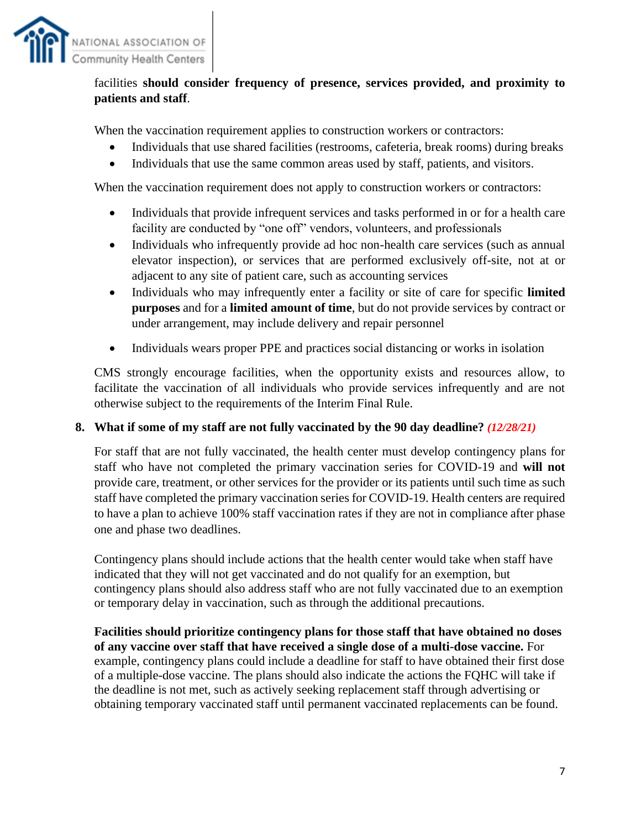

## facilities **should consider frequency of presence, services provided, and proximity to patients and staff**.

When the vaccination requirement applies to construction workers or contractors:

- Individuals that use shared facilities (restrooms, cafeteria, break rooms) during breaks
- Individuals that use the same common areas used by staff, patients, and visitors.

When the vaccination requirement does not apply to construction workers or contractors:

- Individuals that provide infrequent services and tasks performed in or for a health care facility are conducted by "one off" vendors, volunteers, and professionals
- Individuals who infrequently provide ad hoc non-health care services (such as annual elevator inspection), or services that are performed exclusively off-site, not at or adjacent to any site of patient care, such as accounting services
- Individuals who may infrequently enter a facility or site of care for specific **limited purposes** and for a **limited amount of time**, but do not provide services by contract or under arrangement, may include delivery and repair personnel
- Individuals wears proper PPE and practices social distancing or works in isolation

CMS strongly encourage facilities, when the opportunity exists and resources allow, to facilitate the vaccination of all individuals who provide services infrequently and are not otherwise subject to the requirements of the Interim Final Rule.

#### **8. What if some of my staff are not fully vaccinated by the 90 day deadline?** *(12/28/21)*

For staff that are not fully vaccinated, the health center must develop contingency plans for staff who have not completed the primary vaccination series for COVID-19 and **will not** provide care, treatment, or other services for the provider or its patients until such time as such staff have completed the primary vaccination series for COVID-19. Health centers are required to have a plan to achieve 100% staff vaccination rates if they are not in compliance after phase one and phase two deadlines.

Contingency plans should include actions that the health center would take when staff have indicated that they will not get vaccinated and do not qualify for an exemption, but contingency plans should also address staff who are not fully vaccinated due to an exemption or temporary delay in vaccination, such as through the additional precautions.

**Facilities should prioritize contingency plans for those staff that have obtained no doses of any vaccine over staff that have received a single dose of a multi-dose vaccine.** For example, contingency plans could include a deadline for staff to have obtained their first dose of a multiple-dose vaccine. The plans should also indicate the actions the FQHC will take if the deadline is not met, such as actively seeking replacement staff through advertising or obtaining temporary vaccinated staff until permanent vaccinated replacements can be found.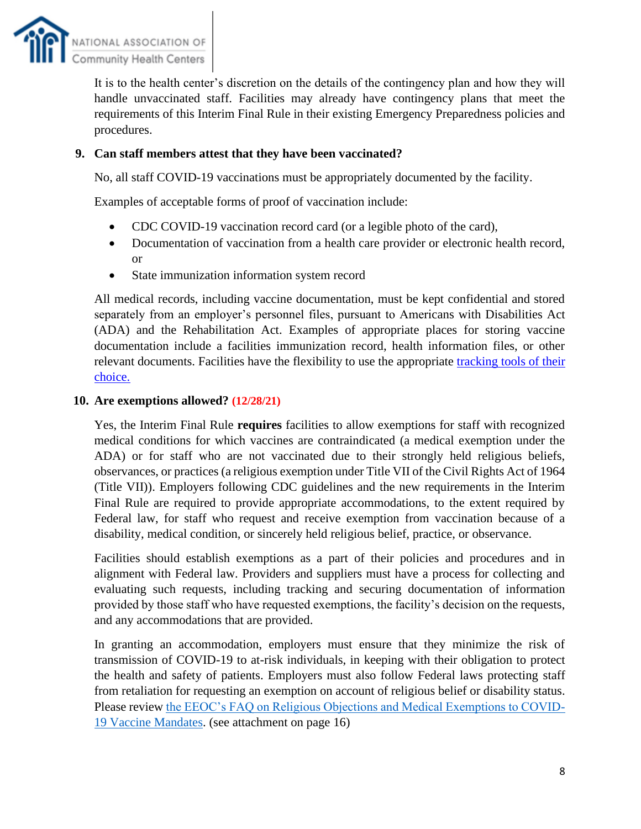

It is to the health center's discretion on the details of the contingency plan and how they will handle unvaccinated staff. Facilities may already have contingency plans that meet the requirements of this Interim Final Rule in their existing Emergency Preparedness policies and procedures.

## **9. Can staff members attest that they have been vaccinated?**

No, all staff COVID-19 vaccinations must be appropriately documented by the facility.

Examples of acceptable forms of proof of vaccination include:

- CDC COVID-19 vaccination record card (or a legible photo of the card),
- Documentation of vaccination from a health care provider or electronic health record, or
- State immunization information system record

All medical records, including vaccine documentation, must be kept confidential and stored separately from an employer's personnel files, pursuant to Americans with Disabilities Act (ADA) and the Rehabilitation Act. Examples of appropriate places for storing vaccine documentation include a facilities immunization record, health information files, or other relevant documents. Facilities have the flexibility to use the appropriate [tracking tools of their](https://www.cdc.gov/nhsn/hps/weekly-covid-vac/index.html)  [choice.](https://www.cdc.gov/nhsn/hps/weekly-covid-vac/index.html)

### **10. Are exemptions allowed? (12/28/21)**

Yes, the Interim Final Rule **requires** facilities to allow exemptions for staff with recognized medical conditions for which vaccines are contraindicated (a medical exemption under the ADA) or for staff who are not vaccinated due to their strongly held religious beliefs, observances, or practices (a religious exemption under Title VII of the Civil Rights Act of 1964 (Title VII)). Employers following CDC guidelines and the new requirements in the Interim Final Rule are required to provide appropriate accommodations, to the extent required by Federal law, for staff who request and receive exemption from vaccination because of a disability, medical condition, or sincerely held religious belief, practice, or observance.

Facilities should establish exemptions as a part of their policies and procedures and in alignment with Federal law. Providers and suppliers must have a process for collecting and evaluating such requests, including tracking and securing documentation of information provided by those staff who have requested exemptions, the facility's decision on the requests, and any accommodations that are provided.

In granting an accommodation, employers must ensure that they minimize the risk of transmission of COVID-19 to at-risk individuals, in keeping with their obligation to protect the health and safety of patients. Employers must also follow Federal laws protecting staff from retaliation for requesting an exemption on account of religious belief or disability status. Please review [the EEOC's FAQ on Religious Objections and Medical Exemptions to COVID-](https://www.eeoc.gov/wysk/what-you-should-know-about-covid-19-and-ada-rehabilitation-act-and-other-eeo-laws)[19 Vaccine Mandates.](https://www.eeoc.gov/wysk/what-you-should-know-about-covid-19-and-ada-rehabilitation-act-and-other-eeo-laws) (see attachment on page 16)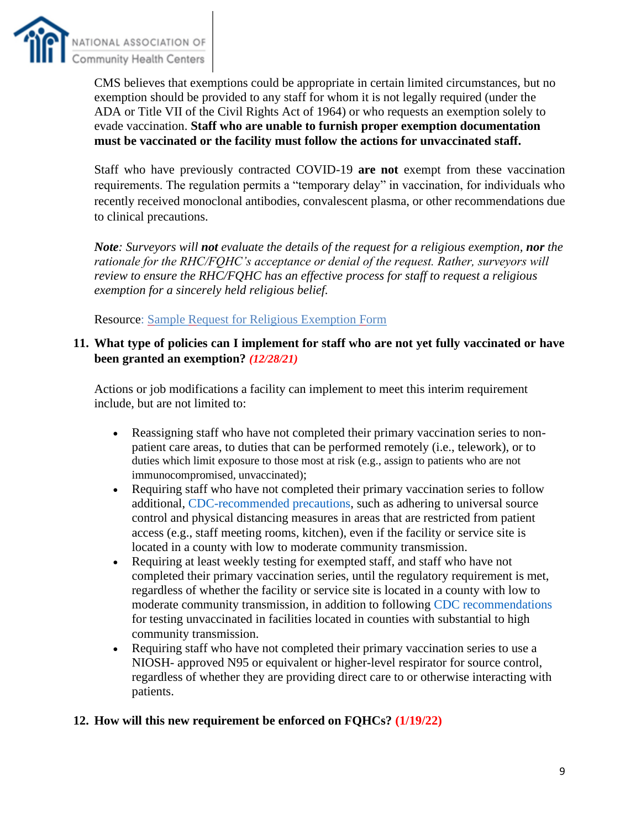

CMS believes that exemptions could be appropriate in certain limited circumstances, but no exemption should be provided to any staff for whom it is not legally required (under the ADA or Title VII of the Civil Rights Act of 1964) or who requests an exemption solely to evade vaccination. **Staff who are unable to furnish proper exemption documentation must be vaccinated or the facility must follow the actions for unvaccinated staff.**

Staff who have previously contracted COVID-19 **are not** exempt from these vaccination requirements. The regulation permits a "temporary delay" in vaccination, for individuals who recently received monoclonal antibodies, convalescent plasma, or other recommendations due to clinical precautions.

*Note: Surveyors will not evaluate the details of the request for a religious exemption, nor the rationale for the RHC/FQHC's acceptance or denial of the request. Rather, surveyors will review to ensure the RHC/FQHC has an effective process for staff to request a religious exemption for a sincerely held religious belief.* 

Resource: Sample Request for Religious Exemption Form

#### **11. What type of policies can I implement for staff who are not yet fully vaccinated or have been granted an exemption?** *(12/28/21)*

Actions or job modifications a facility can implement to meet this interim requirement include, but are not limited to:

- Reassigning staff who have not completed their primary vaccination series to nonpatient care areas, to duties that can be performed remotely (i.e., telework), or to duties which limit exposure to those most at risk (e.g., assign to patients who are not immunocompromised, unvaccinated);
- Requiring staff who have not completed their primary vaccination series to follow additional, CDC-recommended precautions, such as adhering to universal source control and physical distancing measures in areas that are restricted from patient access (e.g., staff meeting rooms, kitchen), even if the facility or service site is located in a county with low to moderate community transmission.
- Requiring at least weekly testing for exempted staff, and staff who have not completed their primary vaccination series, until the regulatory requirement is met, regardless of whether the facility or service site is located in a county with low to moderate community transmission, in addition to following CDC recommendations for testing unvaccinated in facilities located in counties with substantial to high community transmission.
- Requiring staff who have not completed their primary vaccination series to use a NIOSH- approved N95 or equivalent or higher-level respirator for source control, regardless of whether they are providing direct care to or otherwise interacting with patients.

### **12. How will this new requirement be enforced on FQHCs? (1/19/22)**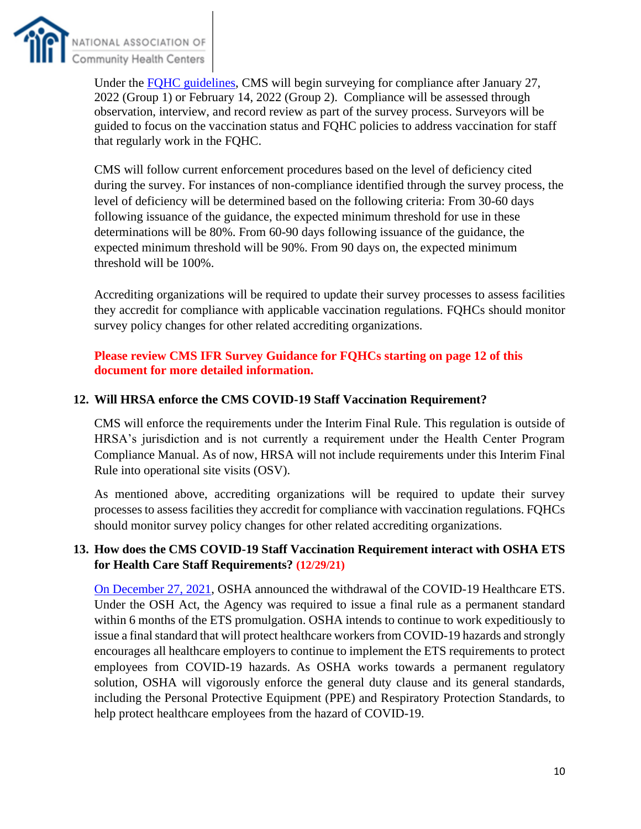

Under the [FQHC guidelines,](https://www.cms.gov/files/document/qso-22-07-all-attachment-m-rhcfqhc.pdf) CMS will begin surveying for compliance after January 27, 2022 (Group 1) or February 14, 2022 (Group 2). Compliance will be assessed through observation, interview, and record review as part of the survey process. Surveyors will be guided to focus on the vaccination status and FQHC policies to address vaccination for staff that regularly work in the FQHC.

CMS will follow current enforcement procedures based on the level of deficiency cited during the survey. For instances of non-compliance identified through the survey process, the level of deficiency will be determined based on the following criteria: From 30-60 days following issuance of the guidance, the expected minimum threshold for use in these determinations will be 80%. From 60-90 days following issuance of the guidance, the expected minimum threshold will be 90%. From 90 days on, the expected minimum threshold will be 100%.

Accrediting organizations will be required to update their survey processes to assess facilities they accredit for compliance with applicable vaccination regulations. FQHCs should monitor survey policy changes for other related accrediting organizations.

## **Please review CMS IFR Survey Guidance for FQHCs starting on page 12 of this document for more detailed information.**

## **12. Will HRSA enforce the CMS COVID-19 Staff Vaccination Requirement?**

CMS will enforce the requirements under the Interim Final Rule. This regulation is outside of HRSA's jurisdiction and is not currently a requirement under the Health Center Program Compliance Manual. As of now, HRSA will not include requirements under this Interim Final Rule into operational site visits (OSV).

As mentioned above, accrediting organizations will be required to update their survey processes to assess facilities they accredit for compliance with vaccination regulations. FQHCs should monitor survey policy changes for other related accrediting organizations.

## **13. How does the CMS COVID-19 Staff Vaccination Requirement interact with OSHA ETS for Health Care Staff Requirements? (12/29/21)**

[On December 27, 2021,](https://www.osha.gov/coronavirus/ets) OSHA announced the withdrawal of the COVID-19 Healthcare ETS. Under the OSH Act, the Agency was required to issue a final rule as a permanent standard within 6 months of the ETS promulgation. OSHA intends to continue to work expeditiously to issue a final standard that will protect healthcare workers from COVID-19 hazards and strongly encourages all healthcare employers to continue to implement the ETS requirements to protect employees from COVID-19 hazards. As OSHA works towards a permanent regulatory solution, OSHA will vigorously enforce the general duty clause and its general standards, including the Personal Protective Equipment (PPE) and Respiratory Protection Standards, to help protect healthcare employees from the hazard of COVID-19.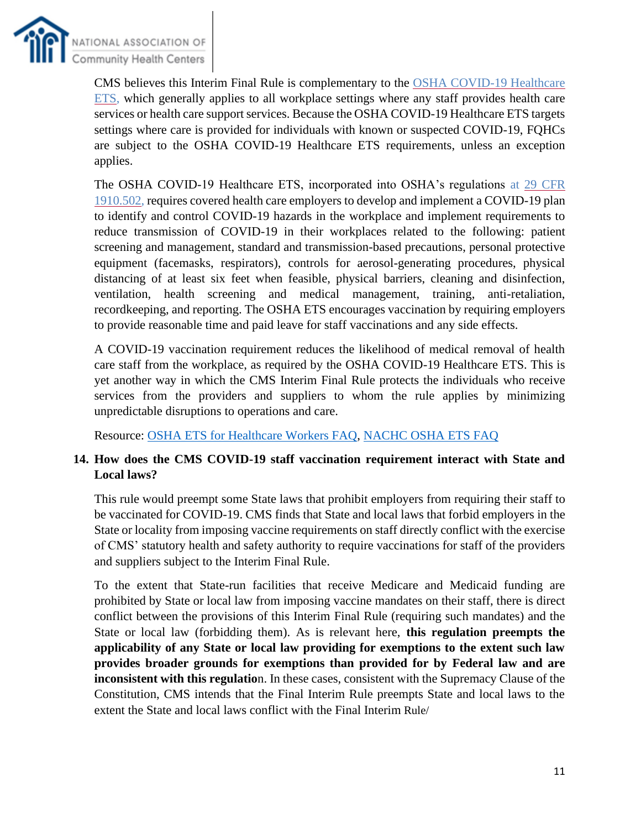

CMS believes this Interim Final Rule is complementary to the [OSHA COVID-19 Healthcare](https://www.osha.gov/coronavirus/ets)  [ETS,](https://www.osha.gov/coronavirus/ets) which generally applies to all workplace settings where any staff provides health care services or health care support services. Because the OSHA COVID-19 Healthcare ETS targets settings where care is provided for individuals with known or suspected COVID-19, FQHCs are subject to the OSHA COVID-19 Healthcare ETS requirements, unless an exception applies.

The OSHA COVID-19 Healthcare ETS, incorporated into OSHA's regulations at [29 CFR](https://www.ecfr.gov/current/title-29/subtitle-B/chapter-XVII/part-1910/subpart-U/section-1910.502)  [1910.502,](https://www.ecfr.gov/current/title-29/subtitle-B/chapter-XVII/part-1910/subpart-U/section-1910.502) requires covered health care employers to develop and implement a COVID-19 plan to identify and control COVID-19 hazards in the workplace and implement requirements to reduce transmission of COVID-19 in their workplaces related to the following: patient screening and management, standard and transmission-based precautions, personal protective equipment (facemasks, respirators), controls for aerosol-generating procedures, physical distancing of at least six feet when feasible, physical barriers, cleaning and disinfection, ventilation, health screening and medical management, training, anti-retaliation, recordkeeping, and reporting. The OSHA ETS encourages vaccination by requiring employers to provide reasonable time and paid leave for staff vaccinations and any side effects.

A COVID-19 vaccination requirement reduces the likelihood of medical removal of health care staff from the workplace, as required by the OSHA COVID-19 Healthcare ETS. This is yet another way in which the CMS Interim Final Rule protects the individuals who receive services from the providers and suppliers to whom the rule applies by minimizing unpredictable disruptions to operations and care.

Resource: [OSHA ETS for Healthcare Workers FAQ,](https://www.osha.gov/coronavirus/ets/faqs) [NACHC OSHA ETS FAQ](https://cdn1.digitellcdn.com/uploads/nachc/articles/2c3375e30365a239655969874bee315e.pdf)

## **14. How does the CMS COVID-19 staff vaccination requirement interact with State and Local laws?**

This rule would preempt some State laws that prohibit employers from requiring their staff to be vaccinated for COVID-19. CMS finds that State and local laws that forbid employers in the State or locality from imposing vaccine requirements on staff directly conflict with the exercise of CMS' statutory health and safety authority to require vaccinations for staff of the providers and suppliers subject to the Interim Final Rule.

To the extent that State-run facilities that receive Medicare and Medicaid funding are prohibited by State or local law from imposing vaccine mandates on their staff, there is direct conflict between the provisions of this Interim Final Rule (requiring such mandates) and the State or local law (forbidding them). As is relevant here, **this regulation preempts the applicability of any State or local law providing for exemptions to the extent such law provides broader grounds for exemptions than provided for by Federal law and are inconsistent with this regulatio**n. In these cases, consistent with the Supremacy Clause of the Constitution, CMS intends that the Final Interim Rule preempts State and local laws to the extent the State and local laws conflict with the Final Interim Rule/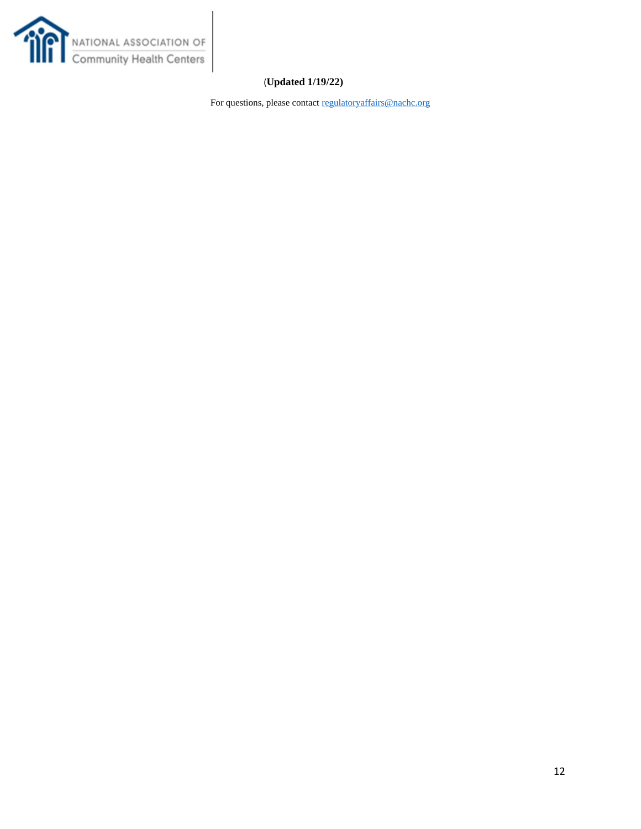

## (**Updated 1/19/22)**

For questions, please contac[t regulatoryaffairs@nachc.org](mailto:regulatoryaffairs@nachc.org)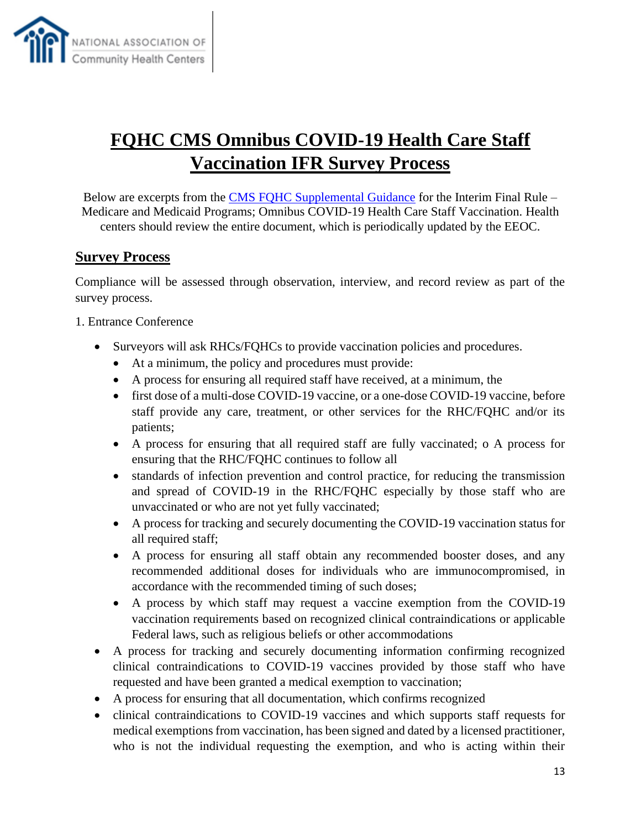

## **FQHC CMS Omnibus COVID-19 Health Care Staff Vaccination IFR Survey Process**

Below are excerpts from the [CMS FQHC Supplemental Guidance](https://www.cms.gov/files/document/qso-22-07-all-attachment-m-rhcfqhc.pdf) for the Interim Final Rule – Medicare and Medicaid Programs; Omnibus COVID-19 Health Care Staff Vaccination. Health centers should review the entire document, which is periodically updated by the EEOC.

## **Survey Process**

Compliance will be assessed through observation, interview, and record review as part of the survey process.

1. Entrance Conference

- Surveyors will ask RHCs/FQHCs to provide vaccination policies and procedures.
	- At a minimum, the policy and procedures must provide:
	- A process for ensuring all required staff have received, at a minimum, the
	- first dose of a multi-dose COVID-19 vaccine, or a one-dose COVID-19 vaccine, before staff provide any care, treatment, or other services for the RHC/FQHC and/or its patients;
	- A process for ensuring that all required staff are fully vaccinated; o A process for ensuring that the RHC/FQHC continues to follow all
	- standards of infection prevention and control practice, for reducing the transmission and spread of COVID-19 in the RHC/FQHC especially by those staff who are unvaccinated or who are not yet fully vaccinated;
	- A process for tracking and securely documenting the COVID-19 vaccination status for all required staff;
	- A process for ensuring all staff obtain any recommended booster doses, and any recommended additional doses for individuals who are immunocompromised, in accordance with the recommended timing of such doses;
	- A process by which staff may request a vaccine exemption from the COVID-19 vaccination requirements based on recognized clinical contraindications or applicable Federal laws, such as religious beliefs or other accommodations
- A process for tracking and securely documenting information confirming recognized clinical contraindications to COVID-19 vaccines provided by those staff who have requested and have been granted a medical exemption to vaccination;
- A process for ensuring that all documentation, which confirms recognized
- clinical contraindications to COVID-19 vaccines and which supports staff requests for medical exemptions from vaccination, has been signed and dated by a licensed practitioner, who is not the individual requesting the exemption, and who is acting within their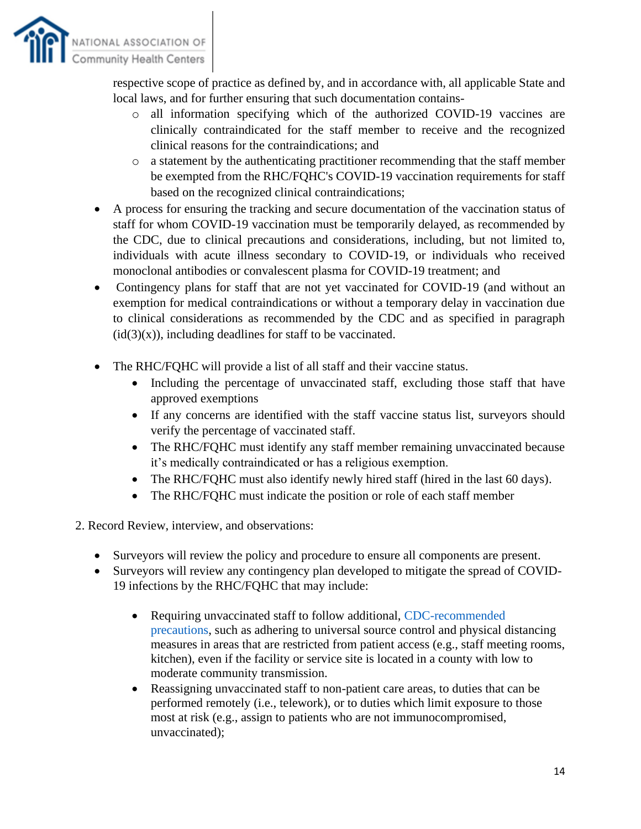

respective scope of practice as defined by, and in accordance with, all applicable State and local laws, and for further ensuring that such documentation contains-

- o all information specifying which of the authorized COVID-19 vaccines are clinically contraindicated for the staff member to receive and the recognized clinical reasons for the contraindications; and
- o a statement by the authenticating practitioner recommending that the staff member be exempted from the RHC/FQHC's COVID-19 vaccination requirements for staff based on the recognized clinical contraindications;
- A process for ensuring the tracking and secure documentation of the vaccination status of staff for whom COVID-19 vaccination must be temporarily delayed, as recommended by the CDC, due to clinical precautions and considerations, including, but not limited to, individuals with acute illness secondary to COVID-19, or individuals who received monoclonal antibodies or convalescent plasma for COVID-19 treatment; and
- Contingency plans for staff that are not yet vaccinated for COVID-19 (and without an exemption for medical contraindications or without a temporary delay in vaccination due to clinical considerations as recommended by the CDC and as specified in paragraph  $(id(3)(x))$ , including deadlines for staff to be vaccinated.
- The RHC/FQHC will provide a list of all staff and their vaccine status.
	- Including the percentage of unvaccinated staff, excluding those staff that have approved exemptions
	- If any concerns are identified with the staff vaccine status list, surveyors should verify the percentage of vaccinated staff.
	- The RHC/FQHC must identify any staff member remaining unvaccinated because it's medically contraindicated or has a religious exemption.
	- The RHC/FOHC must also identify newly hired staff (hired in the last 60 days).
	- The RHC/FQHC must indicate the position or role of each staff member
- 2. Record Review, interview, and observations:
	- Surveyors will review the policy and procedure to ensure all components are present.
	- Surveyors will review any contingency plan developed to mitigate the spread of COVID-19 infections by the RHC/FQHC that may include:
		- Requiring unvaccinated staff to follow additional, CDC-recommended precautions, such as adhering to universal source control and physical distancing measures in areas that are restricted from patient access (e.g., staff meeting rooms, kitchen), even if the facility or service site is located in a county with low to moderate community transmission.
		- Reassigning unvaccinated staff to non-patient care areas, to duties that can be performed remotely (i.e., telework), or to duties which limit exposure to those most at risk (e.g., assign to patients who are not immunocompromised, unvaccinated);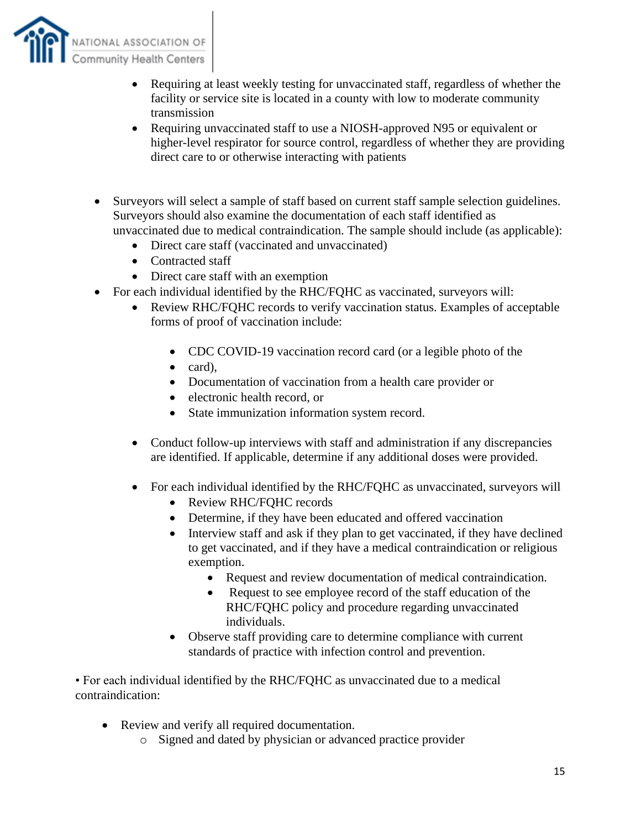

- Requiring at least weekly testing for unvaccinated staff, regardless of whether the facility or service site is located in a county with low to moderate community transmission
- Requiring unvaccinated staff to use a NIOSH-approved N95 or equivalent or higher-level respirator for source control, regardless of whether they are providing direct care to or otherwise interacting with patients
- Surveyors will select a sample of staff based on current staff sample selection guidelines. Surveyors should also examine the documentation of each staff identified as unvaccinated due to medical contraindication. The sample should include (as applicable):
	- Direct care staff (vaccinated and unvaccinated)
	- Contracted staff
	- Direct care staff with an exemption
- For each individual identified by the RHC/FQHC as vaccinated, surveyors will:
	- Review RHC/FOHC records to verify vaccination status. Examples of acceptable forms of proof of vaccination include:
		- CDC COVID-19 vaccination record card (or a legible photo of the
		- card),
		- Documentation of vaccination from a health care provider or
		- electronic health record, or
		- State immunization information system record.
	- Conduct follow-up interviews with staff and administration if any discrepancies are identified. If applicable, determine if any additional doses were provided.
	- For each individual identified by the RHC/FQHC as unvaccinated, surveyors will
		- Review RHC/FQHC records
		- Determine, if they have been educated and offered vaccination
		- Interview staff and ask if they plan to get vaccinated, if they have declined to get vaccinated, and if they have a medical contraindication or religious exemption.
			- Request and review documentation of medical contraindication.
			- Request to see employee record of the staff education of the RHC/FQHC policy and procedure regarding unvaccinated individuals.
		- Observe staff providing care to determine compliance with current standards of practice with infection control and prevention.

• For each individual identified by the RHC/FQHC as unvaccinated due to a medical contraindication:

- Review and verify all required documentation.
	- o Signed and dated by physician or advanced practice provider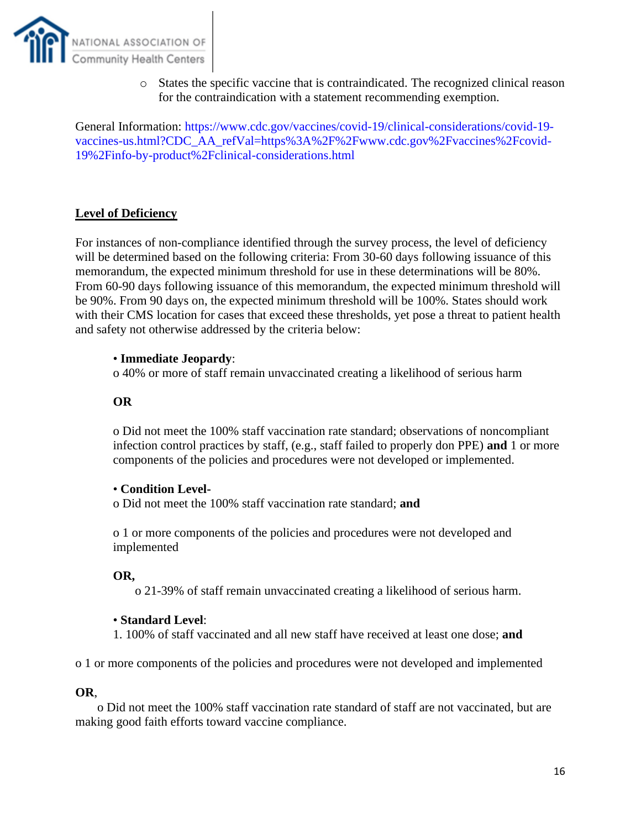

o States the specific vaccine that is contraindicated. The recognized clinical reason for the contraindication with a statement recommending exemption.

General Information: https://www.cdc.gov/vaccines/covid-19/clinical-considerations/covid-19 vaccines-us.html?CDC\_AA\_refVal=https%3A%2F%2Fwww.cdc.gov%2Fvaccines%2Fcovid-19%2Finfo-by-product%2Fclinical-considerations.html

## **Level of Deficiency**

For instances of non-compliance identified through the survey process, the level of deficiency will be determined based on the following criteria: From 30-60 days following issuance of this memorandum, the expected minimum threshold for use in these determinations will be 80%. From 60-90 days following issuance of this memorandum, the expected minimum threshold will be 90%. From 90 days on, the expected minimum threshold will be 100%. States should work with their CMS location for cases that exceed these thresholds, yet pose a threat to patient health and safety not otherwise addressed by the criteria below:

#### • **Immediate Jeopardy**:

o 40% or more of staff remain unvaccinated creating a likelihood of serious harm

#### **OR**

o Did not meet the 100% staff vaccination rate standard; observations of noncompliant infection control practices by staff, (e.g., staff failed to properly don PPE) **and** 1 or more components of the policies and procedures were not developed or implemented.

#### • **Condition Level-**

o Did not meet the 100% staff vaccination rate standard; **and** 

o 1 or more components of the policies and procedures were not developed and implemented

#### **OR,**

o 21-39% of staff remain unvaccinated creating a likelihood of serious harm.

#### • **Standard Level**:

1. 100% of staff vaccinated and all new staff have received at least one dose; **and** 

o 1 or more components of the policies and procedures were not developed and implemented

#### **OR**,

o Did not meet the 100% staff vaccination rate standard of staff are not vaccinated, but are making good faith efforts toward vaccine compliance.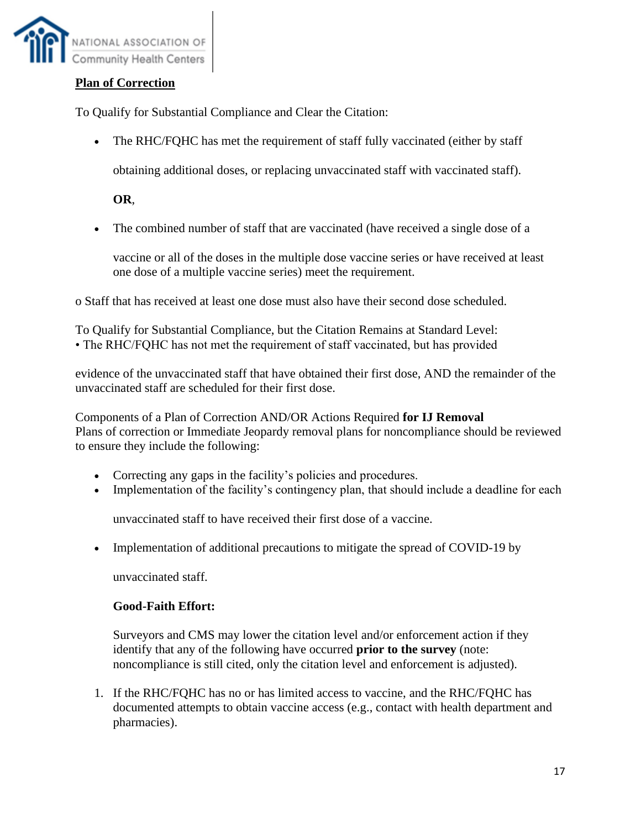

## **Plan of Correction**

To Qualify for Substantial Compliance and Clear the Citation:

• The RHC/FQHC has met the requirement of staff fully vaccinated (either by staff

obtaining additional doses, or replacing unvaccinated staff with vaccinated staff).

**OR**,

• The combined number of staff that are vaccinated (have received a single dose of a

vaccine or all of the doses in the multiple dose vaccine series or have received at least one dose of a multiple vaccine series) meet the requirement.

o Staff that has received at least one dose must also have their second dose scheduled.

To Qualify for Substantial Compliance, but the Citation Remains at Standard Level: • The RHC/FQHC has not met the requirement of staff vaccinated, but has provided

evidence of the unvaccinated staff that have obtained their first dose, AND the remainder of the unvaccinated staff are scheduled for their first dose.

Components of a Plan of Correction AND/OR Actions Required **for IJ Removal** Plans of correction or Immediate Jeopardy removal plans for noncompliance should be reviewed to ensure they include the following:

- Correcting any gaps in the facility's policies and procedures.
- Implementation of the facility's contingency plan, that should include a deadline for each

unvaccinated staff to have received their first dose of a vaccine.

• Implementation of additional precautions to mitigate the spread of COVID-19 by

unvaccinated staff.

### **Good-Faith Effort:**

Surveyors and CMS may lower the citation level and/or enforcement action if they identify that any of the following have occurred **prior to the survey** (note: noncompliance is still cited, only the citation level and enforcement is adjusted).

1. If the RHC/FQHC has no or has limited access to vaccine, and the RHC/FQHC has documented attempts to obtain vaccine access (e.g., contact with health department and pharmacies).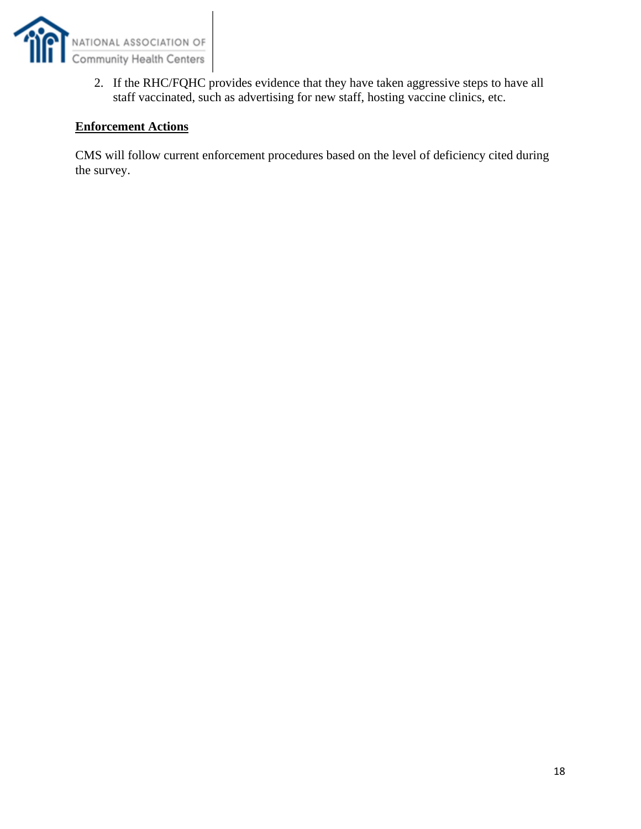

2. If the RHC/FQHC provides evidence that they have taken aggressive steps to have all staff vaccinated, such as advertising for new staff, hosting vaccine clinics, etc.

#### **Enforcement Actions**

CMS will follow current enforcement procedures based on the level of deficiency cited during the survey.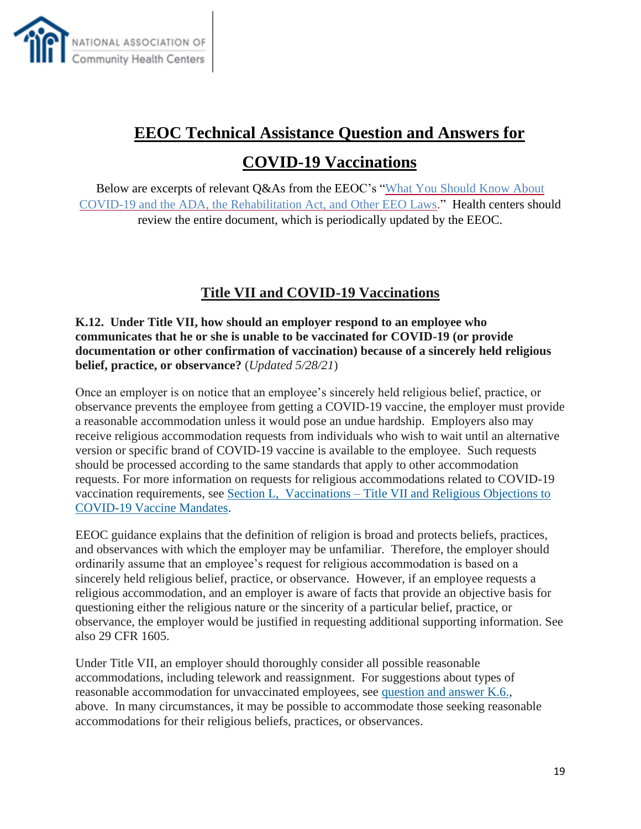

# **EEOC Technical Assistance Question and Answers for**

**COVID-19 Vaccinations**

Below are excerpts of relevant Q&As from the EEOC's "What You Should Know About [COVID-19 and the ADA, the Rehabilitation Act, and Other EEO Laws.](https://www.eeoc.gov/wysk/what-you-should-know-about-covid-19-and-ada-rehabilitation-act-and-other-eeo-laws)" Health centers should review the entire document, which is periodically updated by the EEOC.

## **Title VII and COVID-19 Vaccinations**

**K.12. Under Title VII, how should an employer respond to an employee who communicates that he or she is unable to be vaccinated for COVID-19 (or provide documentation or other confirmation of vaccination) because of a sincerely held religious belief, practice, or observance?** (*Updated 5/28/21*)

Once an employer is on notice that an employee's sincerely held religious belief, practice, or observance prevents the employee from getting a COVID-19 vaccine, the employer must provide a reasonable accommodation unless it would pose an undue hardship. Employers also may receive religious accommodation requests from individuals who wish to wait until an alternative version or specific brand of COVID-19 vaccine is available to the employee. Such requests should be processed according to the same standards that apply to other accommodation requests. For more information on requests for religious accommodations related to COVID-19 vaccination requirements, see Section L, Vaccinations – [Title VII and Religious Objections to](https://www.eeoc.gov/wysk/what-you-should-know-about-covid-19-and-ada-rehabilitation-act-and-other-eeo-laws#L)  [COVID-19 Vaccine Mandates.](https://www.eeoc.gov/wysk/what-you-should-know-about-covid-19-and-ada-rehabilitation-act-and-other-eeo-laws#L)

EEOC guidance explains that the definition of religion is broad and protects beliefs, practices, and observances with which the employer may be unfamiliar. Therefore, the employer should ordinarily assume that an employee's request for religious accommodation is based on a sincerely held religious belief, practice, or observance. However, if an employee requests a religious accommodation, and an employer is aware of facts that provide an objective basis for questioning either the religious nature or the sincerity of a particular belief, practice, or observance, the employer would be justified in requesting additional supporting information. See also 29 CFR 1605.

Under Title VII, an employer should thoroughly consider all possible reasonable accommodations, including telework and reassignment. For suggestions about types of reasonable accommodation for unvaccinated employees, see [question and answer K.6.,](https://www.eeoc.gov/wysk/what-you-should-know-about-covid-19-and-ada-rehabilitation-act-and-other-eeo-laws#K.6) above. In many circumstances, it may be possible to accommodate those seeking reasonable accommodations for their religious beliefs, practices, or observances.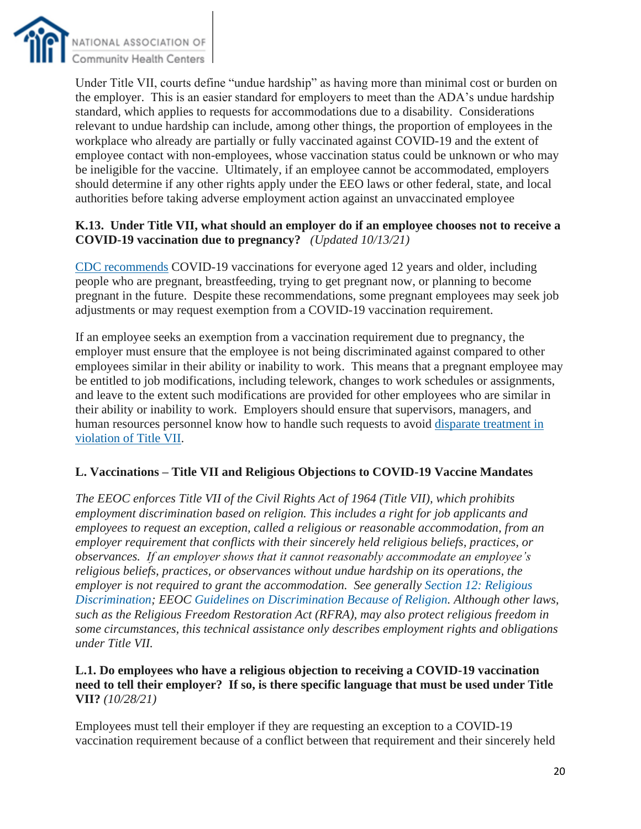

Under Title VII, courts define "undue hardship" as having more than minimal cost or burden on the employer. This is an easier standard for employers to meet than the ADA's undue hardship standard, which applies to requests for accommodations due to a disability. Considerations relevant to undue hardship can include, among other things, the proportion of employees in the workplace who already are partially or fully vaccinated against COVID-19 and the extent of employee contact with non-employees, whose vaccination status could be unknown or who may be ineligible for the vaccine. Ultimately, if an employee cannot be accommodated, employers should determine if any other rights apply under the EEO laws or other federal, state, and local authorities before taking adverse employment action against an unvaccinated employee

#### **K.13. Under Title VII, what should an employer do if an employee chooses not to receive a COVID-19 vaccination due to pregnancy?** *(Updated 10/13/21)*

[CDC recommends](https://emergency.cdc.gov/han/2021/han00453.asp) COVID-19 vaccinations for everyone aged 12 years and older, including people who are pregnant, breastfeeding, trying to get pregnant now, or planning to become pregnant in the future. Despite these recommendations, some pregnant employees may seek job adjustments or may request exemption from a COVID-19 vaccination requirement.

If an employee seeks an exemption from a vaccination requirement due to pregnancy, the employer must ensure that the employee is not being discriminated against compared to other employees similar in their ability or inability to work. This means that a pregnant employee may be entitled to job modifications, including telework, changes to work schedules or assignments, and leave to the extent such modifications are provided for other employees who are similar in their ability or inability to work. Employers should ensure that supervisors, managers, and human resources personnel know how to handle such requests to avoid [disparate treatment in](https://www.eeoc.gov/wysk/what-you-should-know-about-covid-19-and-ada-rehabilitation-act-and-other-eeo-laws#J.2)  [violation of Title VII.](https://www.eeoc.gov/wysk/what-you-should-know-about-covid-19-and-ada-rehabilitation-act-and-other-eeo-laws#J.2)

### **L. Vaccinations – Title VII and Religious Objections to COVID-19 Vaccine Mandates**

*The EEOC enforces Title VII of the Civil Rights Act of 1964 (Title VII), which prohibits employment discrimination based on religion. This includes a right for job applicants and employees to request an exception, called a religious or reasonable accommodation, from an employer requirement that conflicts with their sincerely held religious beliefs, practices, or observances. If an employer shows that it cannot reasonably accommodate an employee's religious beliefs, practices, or observances without undue hardship on its operations, the employer is not required to grant the accommodation. See generally [Section 12: Religious](https://www.eeoc.gov/laws/guidance/section-12-religious-discrimination#h_71848579934051610749830452)  [Discrimination;](https://www.eeoc.gov/laws/guidance/section-12-religious-discrimination#h_71848579934051610749830452) EEOC [Guidelines on Discrimination Because of Religion.](https://www.govinfo.gov/content/pkg/CFR-2016-title29-vol4/xml/CFR-2016-title29-vol4-part1605.xml) Although other laws, such as the Religious Freedom Restoration Act (RFRA), may also protect religious freedom in some circumstances, this technical assistance only describes employment rights and obligations under Title VII.*

#### **L.1. Do employees who have a religious objection to receiving a COVID-19 vaccination need to tell their employer? If so, is there specific language that must be used under Title VII?** *(10/28/21)*

Employees must tell their employer if they are requesting an exception to a COVID-19 vaccination requirement because of a conflict between that requirement and their sincerely held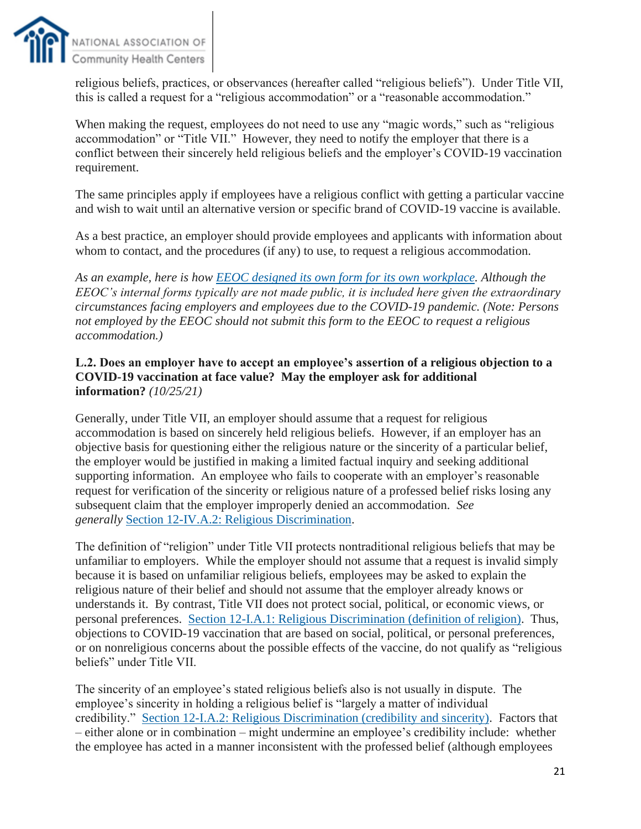

religious beliefs, practices, or observances (hereafter called "religious beliefs"). Under Title VII, this is called a request for a "religious accommodation" or a "reasonable accommodation."

When making the request, employees do not need to use any "magic words," such as "religious" accommodation" or "Title VII." However, they need to notify the employer that there is a conflict between their sincerely held religious beliefs and the employer's COVID-19 vaccination requirement.

The same principles apply if employees have a religious conflict with getting a particular vaccine and wish to wait until an alternative version or specific brand of COVID-19 vaccine is available.

As a best practice, an employer should provide employees and applicants with information about whom to contact, and the procedures (if any) to use, to request a religious accommodation.

*As an example, here is how [EEOC designed its own form for its own workplace.](https://www.eeoc.gov/sites/default/files/2021-10/EEOC%20Religious%20Accommodation%20Request%20Form%20-%20for%20web.pdf) Although the EEOC's internal forms typically are not made public, it is included here given the extraordinary circumstances facing employers and employees due to the COVID-19 pandemic. (Note: Persons not employed by the EEOC should not submit this form to the EEOC to request a religious accommodation.)*

#### **L.2. Does an employer have to accept an employee's assertion of a religious objection to a COVID-19 vaccination at face value? May the employer ask for additional information?** *(10/25/21)*

Generally, under Title VII, an employer should assume that a request for religious accommodation is based on sincerely held religious beliefs. However, if an employer has an objective basis for questioning either the religious nature or the sincerity of a particular belief, the employer would be justified in making a limited factual inquiry and seeking additional supporting information. An employee who fails to cooperate with an employer's reasonable request for verification of the sincerity or religious nature of a professed belief risks losing any subsequent claim that the employer improperly denied an accommodation. *See generally* [Section 12-IV.A.2: Religious Discrimination.](https://www.eeoc.gov/laws/guidance/section-12-religious-discrimination#h_79076346735821610749860135)

The definition of "religion" under Title VII protects nontraditional religious beliefs that may be unfamiliar to employers. While the employer should not assume that a request is invalid simply because it is based on unfamiliar religious beliefs, employees may be asked to explain the religious nature of their belief and should not assume that the employer already knows or understands it. By contrast, Title VII does not protect social, political, or economic views, or personal preferences. [Section 12-I.A.1: Religious Discrimination \(definition of religion\).](https://www.eeoc.gov/laws/guidance/section-12-religious-discrimination#_ftnref18) Thus, objections to COVID-19 vaccination that are based on social, political, or personal preferences, or on nonreligious concerns about the possible effects of the vaccine, do not qualify as "religious beliefs" under Title VII.

The sincerity of an employee's stated religious beliefs also is not usually in dispute. The employee's sincerity in holding a religious belief is "largely a matter of individual credibility." [Section 12-I.A.2: Religious Discrimination \(credibility and sincerity\).](https://www.eeoc.gov/laws/guidance/section-12-religious-discrimination#_ftnref42) Factors that – either alone or in combination – might undermine an employee's credibility include: whether the employee has acted in a manner inconsistent with the professed belief (although employees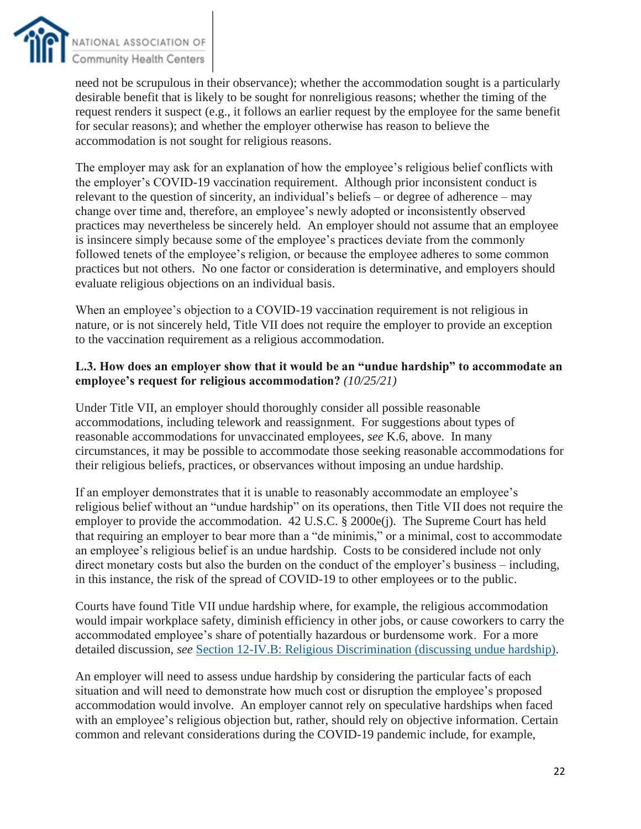

need not be scrupulous in their observance); whether the accommodation sought is a particularly desirable benefit that is likely to be sought for nonreligious reasons; whether the timing of the request renders it suspect (e.g., it follows an earlier request by the employee for the same benefit for secular reasons); and whether the employer otherwise has reason to believe the accommodation is not sought for religious reasons.

The employer may ask for an explanation of how the employee's religious belief conflicts with the employer's COVID-19 vaccination requirement. Although prior inconsistent conduct is relevant to the question of sincerity, an individual's beliefs – or degree of adherence – may change over time and, therefore, an employee's newly adopted or inconsistently observed practices may nevertheless be sincerely held. An employer should not assume that an employee is insincere simply because some of the employee's practices deviate from the commonly followed tenets of the employee's religion, or because the employee adheres to some common practices but not others. No one factor or consideration is determinative, and employers should evaluate religious objections on an individual basis.

When an employee's objection to a COVID-19 vaccination requirement is not religious in nature, or is not sincerely held, Title VII does not require the employer to provide an exception to the vaccination requirement as a religious accommodation.

#### **L.3. How does an employer show that it would be an "undue hardship" to accommodate an employee's request for religious accommodation?** *(10/25/21)*

Under Title VII, an employer should thoroughly consider all possible reasonable accommodations, including telework and reassignment. For suggestions about types of reasonable accommodations for unvaccinated employees, *see* K.6, above. In many circumstances, it may be possible to accommodate those seeking reasonable accommodations for their religious beliefs, practices, or observances without imposing an undue hardship.

If an employer demonstrates that it is unable to reasonably accommodate an employee's religious belief without an "undue hardship" on its operations, then Title VII does not require the employer to provide the accommodation. 42 U.S.C. § 2000e(j). The Supreme Court has held that requiring an employer to bear more than a "de minimis," or a minimal, cost to accommodate an employee's religious belief is an undue hardship. Costs to be considered include not only direct monetary costs but also the burden on the conduct of the employer's business – including, in this instance, the risk of the spread of COVID-19 to other employees or to the public.

Courts have found Title VII undue hardship where, for example, the religious accommodation would impair workplace safety, diminish efficiency in other jobs, or cause coworkers to carry the accommodated employee's share of potentially hazardous or burdensome work. For a more detailed discussion, *see* [Section 12-IV.B: Religious Discrimination \(discussing undue hardship\).](https://www.eeoc.gov/laws/guidance/section-12-religious-discrimination#h_12929403436951610749878556)

An employer will need to assess undue hardship by considering the particular facts of each situation and will need to demonstrate how much cost or disruption the employee's proposed accommodation would involve. An employer cannot rely on speculative hardships when faced with an employee's religious objection but, rather, should rely on objective information. Certain common and relevant considerations during the COVID-19 pandemic include, for example,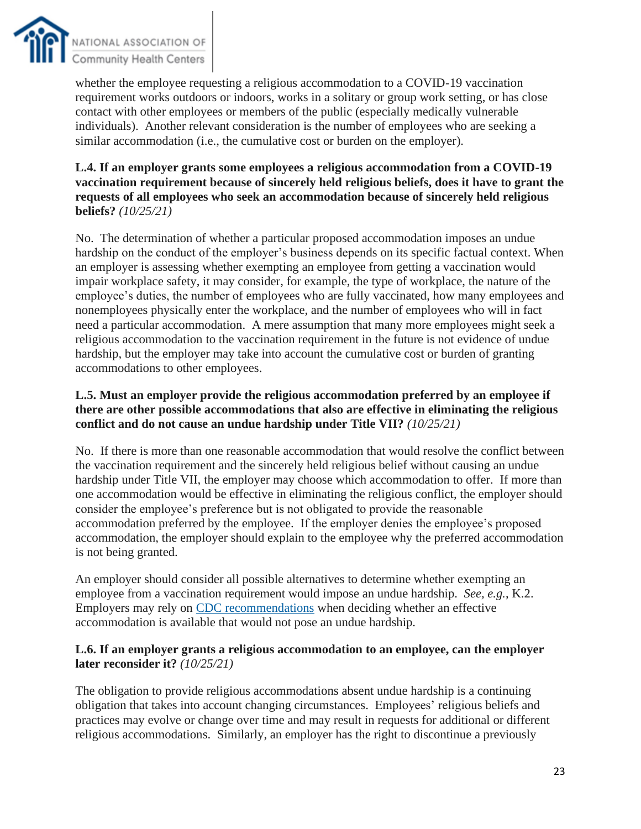

whether the employee requesting a religious accommodation to a COVID-19 vaccination requirement works outdoors or indoors, works in a solitary or group work setting, or has close contact with other employees or members of the public (especially medically vulnerable individuals). Another relevant consideration is the number of employees who are seeking a similar accommodation (i.e., the cumulative cost or burden on the employer).

#### **L.4. If an employer grants some employees a religious accommodation from a COVID-19 vaccination requirement because of sincerely held religious beliefs, does it have to grant the requests of all employees who seek an accommodation because of sincerely held religious beliefs?** *(10/25/21)*

No. The determination of whether a particular proposed accommodation imposes an undue hardship on the conduct of the employer's business depends on its specific factual context. When an employer is assessing whether exempting an employee from getting a vaccination would impair workplace safety, it may consider, for example, the type of workplace, the nature of the employee's duties, the number of employees who are fully vaccinated, how many employees and nonemployees physically enter the workplace, and the number of employees who will in fact need a particular accommodation. A mere assumption that many more employees might seek a religious accommodation to the vaccination requirement in the future is not evidence of undue hardship, but the employer may take into account the cumulative cost or burden of granting accommodations to other employees.

### **L.5. Must an employer provide the religious accommodation preferred by an employee if there are other possible accommodations that also are effective in eliminating the religious conflict and do not cause an undue hardship under Title VII?** *(10/25/21)*

No. If there is more than one reasonable accommodation that would resolve the conflict between the vaccination requirement and the sincerely held religious belief without causing an undue hardship under Title VII, the employer may choose which accommodation to offer. If more than one accommodation would be effective in eliminating the religious conflict, the employer should consider the employee's preference but is not obligated to provide the reasonable accommodation preferred by the employee. If the employer denies the employee's proposed accommodation, the employer should explain to the employee why the preferred accommodation is not being granted.

An employer should consider all possible alternatives to determine whether exempting an employee from a vaccination requirement would impose an undue hardship. *See, e.g.*, K.2. Employers may rely on [CDC recommendations](https://www.cdc.gov/coronavirus/2019-ncov/) when deciding whether an effective accommodation is available that would not pose an undue hardship.

### **L.6. If an employer grants a religious accommodation to an employee, can the employer later reconsider it?** *(10/25/21)*

The obligation to provide religious accommodations absent undue hardship is a continuing obligation that takes into account changing circumstances. Employees' religious beliefs and practices may evolve or change over time and may result in requests for additional or different religious accommodations. Similarly, an employer has the right to discontinue a previously